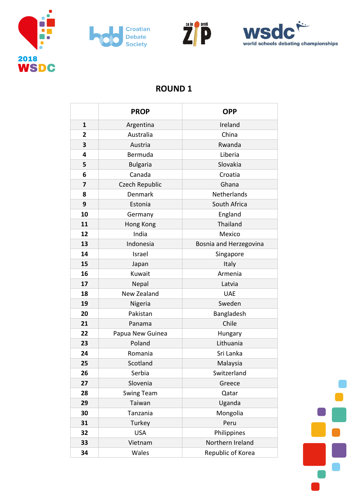







## **ROUND 1**

|                | <b>PROP</b>       | <b>OPP</b>             |
|----------------|-------------------|------------------------|
| 1              | Argentina         | Ireland                |
| $\overline{2}$ | Australia         | China                  |
| 3              | Austria           | Rwanda                 |
| 4              | Bermuda           | Liberia                |
| 5              | <b>Bulgaria</b>   | Slovakia               |
| 6              | Canada            | Croatia                |
| 7              | Czech Republic    | Ghana                  |
| 8              | Denmark           | Netherlands            |
| 9              | Estonia           | South Africa           |
| 10             | Germany           | England                |
| 11             | Hong Kong         | Thailand               |
| 12             | India             | Mexico                 |
| 13             | Indonesia         | Bosnia and Herzegovina |
| 14             | Israel            | Singapore              |
| 15             | Japan             | Italy                  |
| 16             | Kuwait            | Armenia                |
| 17             | Nepal             | Latvia                 |
| 18             | New Zealand       | <b>UAE</b>             |
| 19             | Nigeria           | Sweden                 |
| 20             | Pakistan          | Bangladesh             |
| 21             | Panama            | Chile                  |
| 22             | Papua New Guinea  | Hungary                |
| 23             | Poland            | Lithuania              |
| 24             | Romania           | Sri Lanka              |
| 25             | Scotland          | Malaysia               |
| 26             | Serbia            | Switzerland            |
| 27             | Slovenia          | Greece                 |
| 28             | <b>Swing Team</b> | Qatar                  |
| 29             | Taiwan            | Uganda                 |
| 30             | Tanzania          | Mongolia               |
| 31             | Turkey            | Peru                   |
| 32             | <b>USA</b>        | Philippines            |
| 33             | Vietnam           | Northern Ireland       |
| 34             | Wales             | Republic of Korea      |